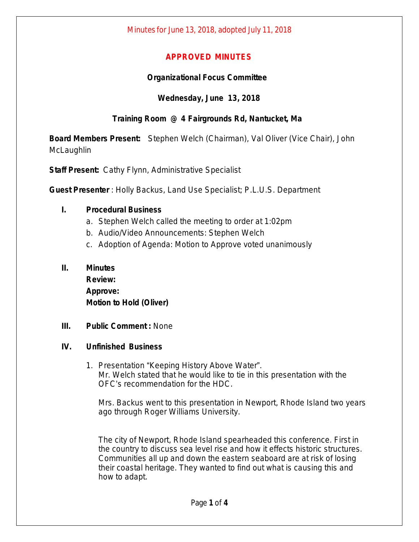## **APPROVED MINUTES**

## **Organizational Focus Committee**

# **Wednesday, June 13, 2018**

# **Training Room @ 4 Fairgrounds Rd, Nantucket, Ma**

**Board Members Present:** Stephen Welch (Chairman), Val Oliver (Vice Chair), John **McLaughlin** 

**Staff Present:** Cathy Flynn, Administrative Specialist

**Guest Presenter** : Holly Backus, Land Use Specialist; P.L.U.S. Department

## **I. Procedural Business**

- a. Stephen Welch called the meeting to order at 1:02pm
- b. Audio/Video Announcements: Stephen Welch
- c. Adoption of Agenda: Motion to Approve voted unanimously

## **II. Minutes**

**Review: Approve: Motion to Hold (Oliver)**

**III. Public Comment :** None

#### **IV. Unfinished Business**

1. Presentation "Keeping History Above Water". Mr. Welch stated that he would like to tie in this presentation with the OFC's recommendation for the HDC.

Mrs. Backus went to this presentation in Newport, Rhode Island two years ago through Roger Williams University.

The city of Newport, Rhode Island spearheaded this conference. First in the country to discuss sea level rise and how it effects historic structures. Communities all up and down the eastern seaboard are at risk of losing their coastal heritage. They wanted to find out what is causing this and how to adapt.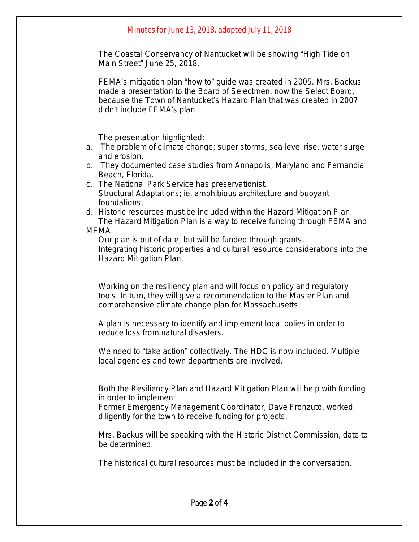#### Minutes for June 13, 2018, adopted July 11, 2018

The Coastal Conservancy of Nantucket will be showing "High Tide on Main Street" June 25, 2018.

FEMA's mitigation plan "how to" guide was created in 2005. Mrs. Backus made a presentation to the Board of Selectmen, now the Select Board, because the Town of Nantucket's Hazard Plan that was created in 2007 didn't include FEMA's plan.

The presentation highlighted:

- a. The problem of climate change; super storms, sea level rise, water surge and erosion.
- b. They documented case studies from Annapolis, Maryland and Fernandia Beach, Florida.
- c. The National Park Service has preservationist. Structural Adaptations; ie, amphibious architecture and buoyant foundations.
- d. Historic resources must be included within the Hazard Mitigation Plan. The Hazard Mitigation Plan is a way to receive funding through FEMA and MEMA.

Our plan is out of date, but will be funded through grants. Integrating historic properties and cultural resource considerations into the Hazard Mitigation Plan.

Working on the resiliency plan and will focus on policy and regulatory tools. In turn, they will give a recommendation to the Master Plan and comprehensive climate change plan for Massachusetts.

A plan is necessary to identify and implement local polies in order to reduce loss from natural disasters.

We need to "take action" collectively. The HDC is now included. Multiple local agencies and town departments are involved.

Both the Resiliency Plan and Hazard Mitigation Plan will help with funding in order to implement

Former Emergency Management Coordinator, Dave Fronzuto, worked diligently for the town to receive funding for projects.

Mrs. Backus will be speaking with the Historic District Commission, date to be determined.

The historical cultural resources must be included in the conversation.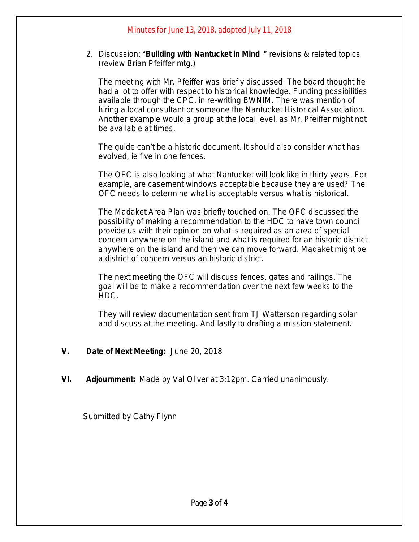2. Discussion: "**Building with Nantucket in Mind** " revisions & related topics (review Brian Pfeiffer mtg.)

The meeting with Mr. Pfeiffer was briefly discussed. The board thought he had a lot to offer with respect to historical knowledge. Funding possibilities available through the CPC, in re-writing BWNIM. There was mention of hiring a local consultant or someone the Nantucket Historical Association. Another example would a group at the local level, as Mr. Pfeiffer might not be available at times.

The guide can't be a historic document. It should also consider what has evolved, ie five in one fences.

The OFC is also looking at what Nantucket will look like in thirty years. For example, are casement windows acceptable because they are used? The OFC needs to determine what is acceptable versus what is historical.

The Madaket Area Plan was briefly touched on. The OFC discussed the possibility of making a recommendation to the HDC to have town council provide us with their opinion on what is required as an area of special concern anywhere on the island and what is required for an historic district anywhere on the island and then we can move forward. Madaket might be a district of concern versus an historic district.

The next meeting the OFC will discuss fences, gates and railings. The goal will be to make a recommendation over the next few weeks to the HDC.

They will review documentation sent from TJ Watterson regarding solar and discuss at the meeting. And lastly to drafting a mission statement.

- **V. Date of Next Meeting:** June 20, 2018
- **VI. Adjournment:** Made by Val Oliver at 3:12pm. Carried unanimously.

Submitted by Cathy Flynn